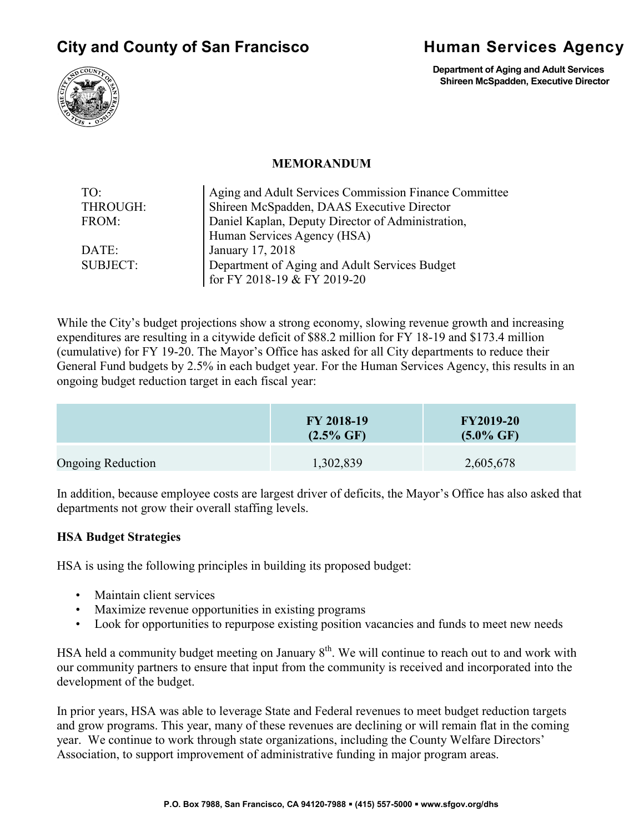# **City and County of San Francisco State Human Services Agency**



**Department of Aging and Adult Services Shireen McSpadden, Executive Director**

#### **MEMORANDUM**

| TO <sup>1</sup> | Aging and Adult Services Commission Finance Committee |
|-----------------|-------------------------------------------------------|
| THROUGH:        | Shireen McSpadden, DAAS Executive Director            |
| FROM:           | Daniel Kaplan, Deputy Director of Administration,     |
|                 | Human Services Agency (HSA)                           |
| DATE:           | January 17, 2018                                      |
| <b>SUBJECT:</b> | Department of Aging and Adult Services Budget         |
|                 | for FY 2018-19 & FY 2019-20                           |

While the City's budget projections show a strong economy, slowing revenue growth and increasing expenditures are resulting in a citywide deficit of \$88.2 million for FY 18-19 and \$173.4 million (cumulative) for FY 19-20. The Mayor's Office has asked for all City departments to reduce their General Fund budgets by 2.5% in each budget year. For the Human Services Agency, this results in an ongoing budget reduction target in each fiscal year:

|                          | FY 2018-19<br>$(2.5\% \text{ GF})$ | <b>FY2019-20</b><br>$(5.0\% \text{ GF})$ |
|--------------------------|------------------------------------|------------------------------------------|
| <b>Ongoing Reduction</b> | 1,302,839                          | 2,605,678                                |

In addition, because employee costs are largest driver of deficits, the Mayor's Office has also asked that departments not grow their overall staffing levels.

#### **HSA Budget Strategies**

HSA is using the following principles in building its proposed budget:

- Maintain client services
- Maximize revenue opportunities in existing programs
- Look for opportunities to repurpose existing position vacancies and funds to meet new needs

HSA held a community budget meeting on January  $8<sup>th</sup>$ . We will continue to reach out to and work with our community partners to ensure that input from the community is received and incorporated into the development of the budget.

In prior years, HSA was able to leverage State and Federal revenues to meet budget reduction targets and grow programs. This year, many of these revenues are declining or will remain flat in the coming year. We continue to work through state organizations, including the County Welfare Directors' Association, to support improvement of administrative funding in major program areas.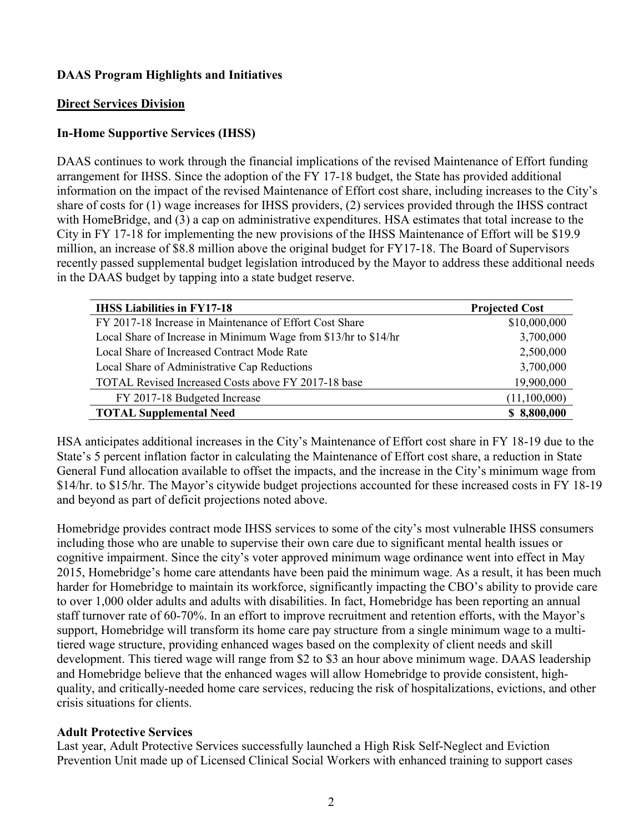## **DAAS Program Highlights and Initiatives**

## **Direct Services Division**

## **In-Home Supportive Services (IHSS)**

DAAS continues to work through the financial implications of the revised Maintenance of Effort funding arrangement for IHSS. Since the adoption of the FY 17-18 budget, the State has provided additional information on the impact of the revised Maintenance of Effort cost share, including increases to the City's share of costs for (1) wage increases for IHSS providers, (2) services provided through the IHSS contract with HomeBridge, and (3) a cap on administrative expenditures. HSA estimates that total increase to the City in FY 17-18 for implementing the new provisions of the IHSS Maintenance of Effort will be \$19.9 million, an increase of \$8.8 million above the original budget for FY17-18. The Board of Supervisors recently passed supplemental budget legislation introduced by the Mayor to address these additional needs in the DAAS budget by tapping into a state budget reserve.

| <b>IHSS Liabilities in FY17-18</b>                              | <b>Projected Cost</b> |
|-----------------------------------------------------------------|-----------------------|
| FY 2017-18 Increase in Maintenance of Effort Cost Share         | \$10,000,000          |
| Local Share of Increase in Minimum Wage from \$13/hr to \$14/hr | 3,700,000             |
| Local Share of Increased Contract Mode Rate                     | 2,500,000             |
| Local Share of Administrative Cap Reductions                    | 3,700,000             |
| TOTAL Revised Increased Costs above FY 2017-18 base             | 19,900,000            |
| FY 2017-18 Budgeted Increase                                    | (11,100,000)          |
| <b>TOTAL Supplemental Need</b>                                  | \$8,800,000           |

HSA anticipates additional increases in the City's Maintenance of Effort cost share in FY 18-19 due to the State's 5 percent inflation factor in calculating the Maintenance of Effort cost share, a reduction in State General Fund allocation available to offset the impacts, and the increase in the City's minimum wage from \$14/hr. to \$15/hr. The Mayor's citywide budget projections accounted for these increased costs in FY 18-19 and beyond as part of deficit projections noted above.

Homebridge provides contract mode IHSS services to some of the city's most vulnerable IHSS consumers including those who are unable to supervise their own care due to significant mental health issues or cognitive impairment. Since the city's voter approved minimum wage ordinance went into effect in May 2015, Homebridge's home care attendants have been paid the minimum wage. As a result, it has been much harder for Homebridge to maintain its workforce, significantly impacting the CBO's ability to provide care to over 1,000 older adults and adults with disabilities. In fact, Homebridge has been reporting an annual staff turnover rate of 60-70%. In an effort to improve recruitment and retention efforts, with the Mayor's support, Homebridge will transform its home care pay structure from a single minimum wage to a multitiered wage structure, providing enhanced wages based on the complexity of client needs and skill development. This tiered wage will range from \$2 to \$3 an hour above minimum wage. DAAS leadership and Homebridge believe that the enhanced wages will allow Homebridge to provide consistent, highquality, and critically-needed home care services, reducing the risk of hospitalizations, evictions, and other crisis situations for clients.

#### **Adult Protective Services**

Last year, Adult Protective Services successfully launched a High Risk Self-Neglect and Eviction Prevention Unit made up of Licensed Clinical Social Workers with enhanced training to support cases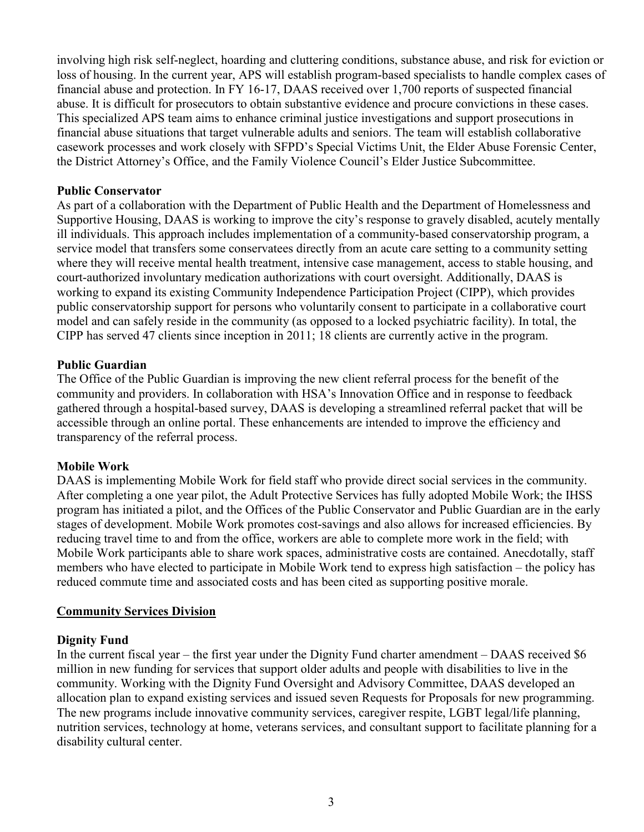involving high risk self-neglect, hoarding and cluttering conditions, substance abuse, and risk for eviction or loss of housing. In the current year, APS will establish program-based specialists to handle complex cases of financial abuse and protection. In FY 16-17, DAAS received over 1,700 reports of suspected financial abuse. It is difficult for prosecutors to obtain substantive evidence and procure convictions in these cases. This specialized APS team aims to enhance criminal justice investigations and support prosecutions in financial abuse situations that target vulnerable adults and seniors. The team will establish collaborative casework processes and work closely with SFPD's Special Victims Unit, the Elder Abuse Forensic Center, the District Attorney's Office, and the Family Violence Council's Elder Justice Subcommittee.

## **Public Conservator**

As part of a collaboration with the Department of Public Health and the Department of Homelessness and Supportive Housing, DAAS is working to improve the city's response to gravely disabled, acutely mentally ill individuals. This approach includes implementation of a community-based conservatorship program, a service model that transfers some conservatees directly from an acute care setting to a community setting where they will receive mental health treatment, intensive case management, access to stable housing, and court-authorized involuntary medication authorizations with court oversight. Additionally, DAAS is working to expand its existing Community Independence Participation Project (CIPP), which provides public conservatorship support for persons who voluntarily consent to participate in a collaborative court model and can safely reside in the community (as opposed to a locked psychiatric facility). In total, the CIPP has served 47 clients since inception in 2011; 18 clients are currently active in the program.

## **Public Guardian**

The Office of the Public Guardian is improving the new client referral process for the benefit of the community and providers. In collaboration with HSA's Innovation Office and in response to feedback gathered through a hospital-based survey, DAAS is developing a streamlined referral packet that will be accessible through an online portal. These enhancements are intended to improve the efficiency and transparency of the referral process.

## **Mobile Work**

DAAS is implementing Mobile Work for field staff who provide direct social services in the community. After completing a one year pilot, the Adult Protective Services has fully adopted Mobile Work; the IHSS program has initiated a pilot, and the Offices of the Public Conservator and Public Guardian are in the early stages of development. Mobile Work promotes cost-savings and also allows for increased efficiencies. By reducing travel time to and from the office, workers are able to complete more work in the field; with Mobile Work participants able to share work spaces, administrative costs are contained. Anecdotally, staff members who have elected to participate in Mobile Work tend to express high satisfaction – the policy has reduced commute time and associated costs and has been cited as supporting positive morale.

#### **Community Services Division**

#### **Dignity Fund**

In the current fiscal year – the first year under the Dignity Fund charter amendment – DAAS received \$6 million in new funding for services that support older adults and people with disabilities to live in the community. Working with the Dignity Fund Oversight and Advisory Committee, DAAS developed an allocation plan to expand existing services and issued seven Requests for Proposals for new programming. The new programs include innovative community services, caregiver respite, LGBT legal/life planning, nutrition services, technology at home, veterans services, and consultant support to facilitate planning for a disability cultural center.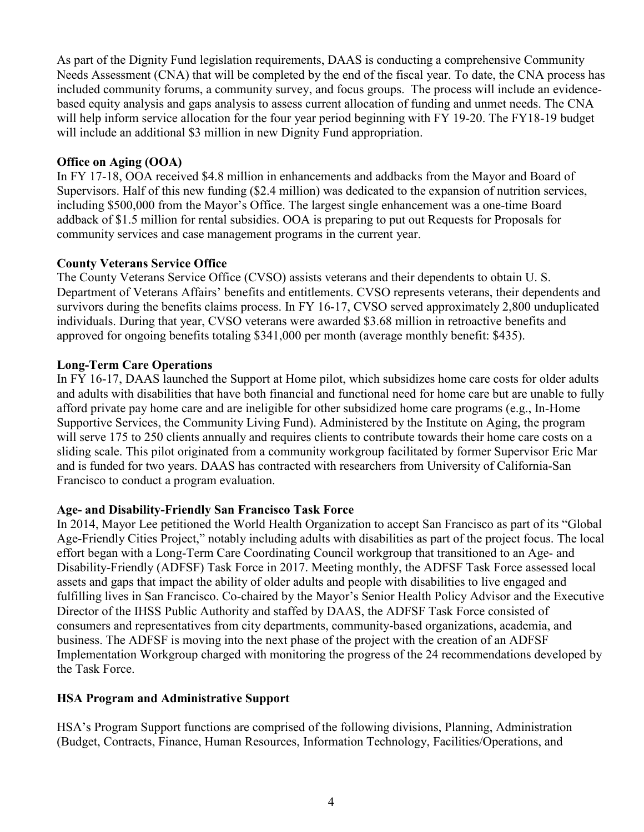As part of the Dignity Fund legislation requirements, DAAS is conducting a comprehensive Community Needs Assessment (CNA) that will be completed by the end of the fiscal year. To date, the CNA process has included community forums, a community survey, and focus groups. The process will include an evidencebased equity analysis and gaps analysis to assess current allocation of funding and unmet needs. The CNA will help inform service allocation for the four year period beginning with FY 19-20. The FY18-19 budget will include an additional \$3 million in new Dignity Fund appropriation.

## **Office on Aging (OOA)**

In FY 17-18, OOA received \$4.8 million in enhancements and addbacks from the Mayor and Board of Supervisors. Half of this new funding (\$2.4 million) was dedicated to the expansion of nutrition services, including \$500,000 from the Mayor's Office. The largest single enhancement was a one-time Board addback of \$1.5 million for rental subsidies. OOA is preparing to put out Requests for Proposals for community services and case management programs in the current year.

## **County Veterans Service Office**

The County Veterans Service Office (CVSO) assists veterans and their dependents to obtain U. S. Department of Veterans Affairs' benefits and entitlements. CVSO represents veterans, their dependents and survivors during the benefits claims process. In FY 16-17, CVSO served approximately 2,800 unduplicated individuals. During that year, CVSO veterans were awarded \$3.68 million in retroactive benefits and approved for ongoing benefits totaling \$341,000 per month (average monthly benefit: \$435).

## **Long-Term Care Operations**

In FY 16-17, DAAS launched the Support at Home pilot, which subsidizes home care costs for older adults and adults with disabilities that have both financial and functional need for home care but are unable to fully afford private pay home care and are ineligible for other subsidized home care programs (e.g., In-Home Supportive Services, the Community Living Fund). Administered by the Institute on Aging, the program will serve 175 to 250 clients annually and requires clients to contribute towards their home care costs on a sliding scale. This pilot originated from a community workgroup facilitated by former Supervisor Eric Mar and is funded for two years. DAAS has contracted with researchers from University of California-San Francisco to conduct a program evaluation.

## **Age- and Disability-Friendly San Francisco Task Force**

In 2014, Mayor Lee petitioned the World Health Organization to accept San Francisco as part of its "Global Age-Friendly Cities Project," notably including adults with disabilities as part of the project focus. The local effort began with a Long-Term Care Coordinating Council workgroup that transitioned to an Age- and Disability-Friendly (ADFSF) Task Force in 2017. Meeting monthly, the ADFSF Task Force assessed local assets and gaps that impact the ability of older adults and people with disabilities to live engaged and fulfilling lives in San Francisco. Co-chaired by the Mayor's Senior Health Policy Advisor and the Executive Director of the IHSS Public Authority and staffed by DAAS, the ADFSF Task Force consisted of consumers and representatives from city departments, community-based organizations, academia, and business. The ADFSF is moving into the next phase of the project with the creation of an ADFSF Implementation Workgroup charged with monitoring the progress of the 24 recommendations developed by the Task Force.

## **HSA Program and Administrative Support**

HSA's Program Support functions are comprised of the following divisions, Planning, Administration (Budget, Contracts, Finance, Human Resources, Information Technology, Facilities/Operations, and